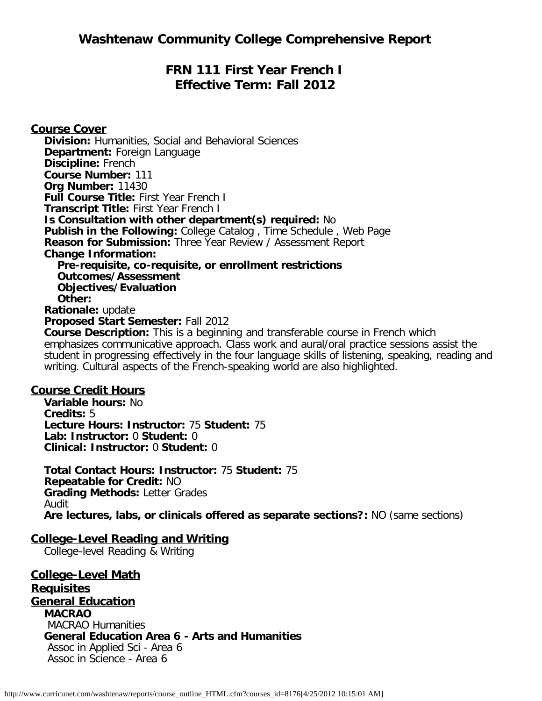# **FRN 111 First Year French I Effective Term: Fall 2012**

**Course Cover Division:** Humanities, Social and Behavioral Sciences **Department:** Foreign Language **Discipline:** French **Course Number:** 111 **Org Number:** 11430 **Full Course Title:** First Year French I **Transcript Title:** First Year French I **Is Consultation with other department(s) required:** No **Publish in the Following:** College Catalog , Time Schedule , Web Page **Reason for Submission:** Three Year Review / Assessment Report **Change Information: Pre-requisite, co-requisite, or enrollment restrictions Outcomes/Assessment Objectives/Evaluation Other: Rationale:** update **Proposed Start Semester:** Fall 2012 **Course Description:** This is a beginning and transferable course in French which emphasizes communicative approach. Class work and aural/oral practice sessions assist the

student in progressing effectively in the four language skills of listening, speaking, reading and writing. Cultural aspects of the French-speaking world are also highlighted.

#### **Course Credit Hours**

**Variable hours:** No **Credits:** 5 **Lecture Hours: Instructor:** 75 **Student:** 75 **Lab: Instructor:** 0 **Student:** 0 **Clinical: Instructor:** 0 **Student:** 0

**Total Contact Hours: Instructor:** 75 **Student:** 75 **Repeatable for Credit:** NO **Grading Methods:** Letter Grades Audit **Are lectures, labs, or clinicals offered as separate sections?:** NO (same sections)

#### **College-Level Reading and Writing**

College-level Reading & Writing

**College-Level Math Requisites General Education MACRAO** MACRAO Humanities **General Education Area 6 - Arts and Humanities** Assoc in Applied Sci - Area 6 Assoc in Science - Area 6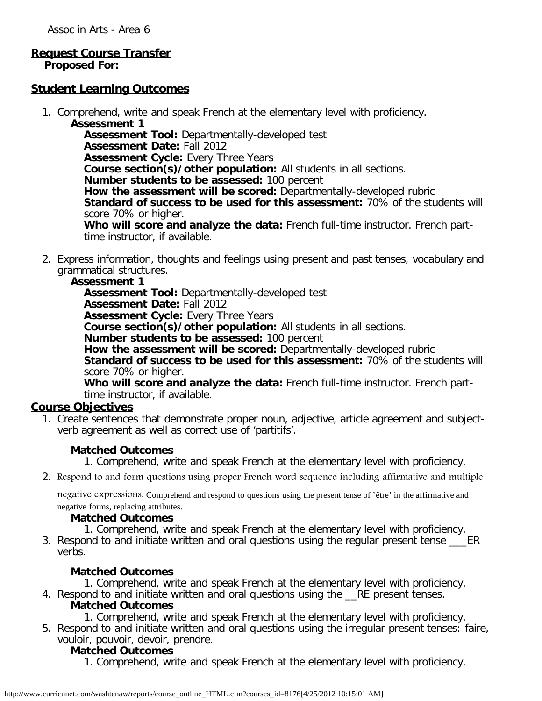#### **Request Course Transfer Proposed For:**

#### **Student Learning Outcomes**

1. Comprehend, write and speak French at the elementary level with proficiency. **Assessment 1**

**Assessment Tool:** Departmentally-developed test **Assessment Date:** Fall 2012 **Assessment Cycle: Every Three Years Course section(s)/other population:** All students in all sections. **Number students to be assessed:** 100 percent **How the assessment will be scored:** Departmentally-developed rubric **Standard of success to be used for this assessment:** 70% of the students will score 70% or higher. **Who will score and analyze the data:** French full-time instructor. French parttime instructor, if available.

2. Express information, thoughts and feelings using present and past tenses, vocabulary and grammatical structures.

#### **Assessment 1**

**Assessment Tool:** Departmentally-developed test

**Assessment Date:** Fall 2012

**Assessment Cycle:** Every Three Years

**Course section(s)/other population:** All students in all sections.

**Number students to be assessed:** 100 percent

**How the assessment will be scored:** Departmentally-developed rubric

**Standard of success to be used for this assessment:** 70% of the students will score 70% or higher.

**Who will score and analyze the data:** French full-time instructor. French parttime instructor, if available.

## **Course Objectives**

1. Create sentences that demonstrate proper noun, adjective, article agreement and subjectverb agreement as well as correct use of 'partitifs'.

#### **Matched Outcomes**

1. Comprehend, write and speak French at the elementary level with proficiency.

2. Respond to and form questions using proper French word sequence including affirmative and multiple

negative expressions. Comprehend and respond to questions using the present tense of 'être' in the affirmative and negative forms, replacing attributes.

#### **Matched Outcomes**

1. Comprehend, write and speak French at the elementary level with proficiency.

3. Respond to and initiate written and oral questions using the regular present tense ER verbs.

#### **Matched Outcomes**

1. Comprehend, write and speak French at the elementary level with proficiency.

- 4. Respond to and initiate written and oral questions using the RE present tenses. **Matched Outcomes**
	- 1. Comprehend, write and speak French at the elementary level with proficiency.
- 5. Respond to and initiate written and oral questions using the irregular present tenses: faire, vouloir, pouvoir, devoir, prendre.

#### **Matched Outcomes**

1. Comprehend, write and speak French at the elementary level with proficiency.